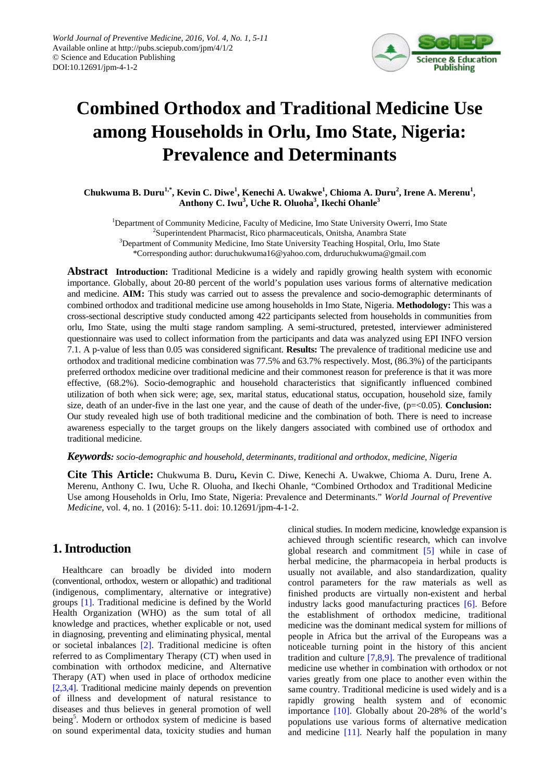

# **Combined Orthodox and Traditional Medicine Use among Households in Orlu, Imo State, Nigeria: Prevalence and Determinants**

Chukwuma B. Duru<sup>1,\*</sup>, Kevin C. Diwe<sup>1</sup>, Kenechi A. Uwakwe<sup>1</sup>, Chioma A. Duru<sup>2</sup>, Irene A. Merenu<sup>1</sup>, **Anthony C. Iwu3 , Uche R. Oluoha<sup>3</sup> , Ikechi Ohanle<sup>3</sup>**

<sup>1</sup>Department of Community Medicine, Faculty of Medicine, Imo State University Owerri, Imo State <sup>2</sup>Superintendent Pharmacist, Rico pharmaceuticals, Onitsha, Anambra State <sup>3</sup>Department of Community Medicine, Imo State University Teaching Hospital, Orlu, Imo State \*Corresponding author: duruchukwuma16@yahoo.com, drduruchukwuma@gmail.com

**Abstract Introduction:** Traditional Medicine is a widely and rapidly growing health system with economic importance. Globally, about 20-80 percent of the world's population uses various forms of alternative medication and medicine. **AIM:** This study was carried out to assess the prevalence and socio-demographic determinants of combined orthodox and traditional medicine use among households in Imo State, Nigeria. **Methodology:** This was a cross-sectional descriptive study conducted among 422 participants selected from households in communities from orlu, Imo State, using the multi stage random sampling. A semi-structured, pretested, interviewer administered questionnaire was used to collect information from the participants and data was analyzed using EPI INFO version 7.1. A p-value of less than 0.05 was considered significant. **Results:** The prevalence of traditional medicine use and orthodox and traditional medicine combination was 77.5% and 63.7% respectively. Most, (86.3%) of the participants preferred orthodox medicine over traditional medicine and their commonest reason for preference is that it was more effective, (68.2%). Socio-demographic and household characteristics that significantly influenced combined utilization of both when sick were; age, sex, marital status, educational status, occupation, household size, family size, death of an under-five in the last one year, and the cause of death of the under-five, (p=<0.05). **Conclusion:** Our study revealed high use of both traditional medicine and the combination of both. There is need to increase awareness especially to the target groups on the likely dangers associated with combined use of orthodox and traditional medicine.

#### *Keywords: socio-demographic and household, determinants, traditional and orthodox, medicine, Nigeria*

**Cite This Article:** Chukwuma B. Duru**,** Kevin C. Diwe, Kenechi A. Uwakwe, Chioma A. Duru, Irene A. Merenu, Anthony C. Iwu, Uche R. Oluoha, and Ikechi Ohanle, "Combined Orthodox and Traditional Medicine Use among Households in Orlu, Imo State, Nigeria: Prevalence and Determinants." *World Journal of Preventive Medicine*, vol. 4, no. 1 (2016): 5-11. doi: 10.12691/jpm-4-1-2.

## **1. Introduction**

Healthcare can broadly be divided into modern (conventional, orthodox, western or allopathic) and traditional (indigenous, complimentary, alternative or integrative) groups [\[1\].](#page-6-0) Traditional medicine is defined by the World Health Organization (WHO) as the sum total of all knowledge and practices, whether explicable or not, used in diagnosing, preventing and eliminating physical, mental or societal inbalances [\[2\].](#page-6-1) Traditional medicine is often referred to as Complimentary Therapy (CT) when used in combination with orthodox medicine, and Alternative Therapy (AT) when used in place of orthodox medicine [\[2,3,4\].](#page-6-1) Traditional medicine mainly depends on prevention of illness and development of natural resistance to diseases and thus believes in general promotion of well being<sup>5</sup>. Modern or orthodox system of medicine is based on sound experimental data, toxicity studies and human

clinical studies. In modern medicine, knowledge expansion is achieved through scientific research, which can involve global research and commitment [\[5\]](#page-6-2) while in case of herbal medicine, the pharmacopeia in herbal products is usually not available, and also standardization, quality control parameters for the raw materials as well as finished products are virtually non-existent and herbal industry lacks good manufacturing practices [\[6\].](#page-6-3) Before the establishment of orthodox medicine, traditional medicine was the dominant medical system for millions of people in Africa but the arrival of the Europeans was a noticeable turning point in the history of this ancient tradition and culture  $[7,8,9]$ . The prevalence of traditional medicine use whether in combination with orthodox or not varies greatly from one place to another even within the same country. Traditional medicine is used widely and is a rapidly growing health system and of economic importance [\[10\].](#page-6-5) Globally about 20-28% of the world's populations use various forms of alternative medication and medicine [\[11\].](#page-6-6) Nearly half the population in many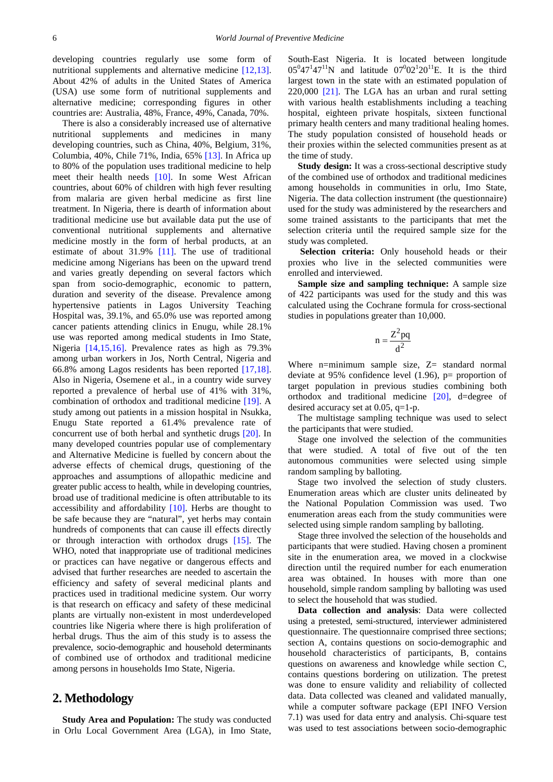developing countries regularly use some form of nutritional supplements and alternative medicine [\[12,13\].](#page-6-7) About 42% of adults in the United States of America (USA) use some form of nutritional supplements and alternative medicine; corresponding figures in other countries are: Australia, 48%, France, 49%, Canada, 70%.

There is also a considerably increased use of alternative nutritional supplements and medicines in many developing countries, such as China, 40%, Belgium, 31%, Columbia, 40%, Chile 71%, India, 65% [\[13\].](#page-6-8) In Africa up to 80% of the population uses traditional medicine to help meet their health needs [\[10\].](#page-6-5) In some West African countries, about 60% of children with high fever resulting from malaria are given herbal medicine as first line treatment. In Nigeria, there is dearth of information about traditional medicine use but available data put the use of conventional nutritional supplements and alternative medicine mostly in the form of herbal products, at an estimate of about 31.9% [\[11\].](#page-6-6) The use of traditional medicine among Nigerians has been on the upward trend and varies greatly depending on several factors which span from socio-demographic, economic to pattern, duration and severity of the disease. Prevalence among hypertensive patients in Lagos University Teaching Hospital was, 39.1%, and 65.0% use was reported among cancer patients attending clinics in Enugu, while 28.1% use was reported among medical students in Imo State, Nigeria [\[14,15,16\].](#page-6-9) Prevalence rates as high as 79.3% among urban workers in Jos, North Central, Nigeria and 66.8% among Lagos residents has been reported [\[17,18\].](#page-6-10) Also in Nigeria, Osemene et al., in a country wide survey reported a prevalence of herbal use of 41% with 31%, combination of orthodox and traditional medicine [\[19\].](#page-6-11) A study among out patients in a mission hospital in Nsukka, Enugu State reported a 61.4% prevalence rate of concurrent use of both herbal and synthetic drugs [\[20\].](#page-6-12) In many developed countries popular use of complementary and Alternative Medicine is fuelled by concern about the adverse effects of chemical drugs, questioning of the approaches and assumptions of allopathic medicine and greater public access to health, while in developing countries, broad use of traditional medicine is often attributable to its accessibility and affordability [\[10\].](#page-6-5) Herbs are thought to be safe because they are "natural", yet herbs may contain hundreds of components that can cause ill effects directly or through interaction with orthodox drugs [\[15\].](#page-6-13) The WHO, noted that inappropriate use of traditional medicines or practices can have negative or dangerous effects and advised that further researches are needed to ascertain the efficiency and safety of several medicinal plants and practices used in traditional medicine system. Our worry is that research on efficacy and safety of these medicinal plants are virtually non-existent in most underdeveloped countries like Nigeria where there is high proliferation of herbal drugs. Thus the aim of this study is to assess the prevalence, socio-demographic and household determinants of combined use of orthodox and traditional medicine among persons in households Imo State, Nigeria.

#### **2. Methodology**

**Study Area and Population:** The study was conducted in Orlu Local Government Area (LGA), in Imo State, South-East Nigeria. It is located between longitude  $05^{0}47^{1}47^{11}$ N and latitude  $07^{0}02^{1}20^{11}$ E. It is the third largest town in the state with an estimated population of 220,000 [\[21\].](#page-6-14) The LGA has an urban and rural setting with various health establishments including a teaching hospital, eighteen private hospitals, sixteen functional primary health centers and many traditional healing homes. The study population consisted of household heads or their proxies within the selected communities present as at the time of study.

**Study design:** It was a cross-sectional descriptive study of the combined use of orthodox and traditional medicines among households in communities in orlu, Imo State, Nigeria. The data collection instrument (the questionnaire) used for the study was administered by the researchers and some trained assistants to the participants that met the selection criteria until the required sample size for the study was completed.

**Selection criteria:** Only household heads or their proxies who live in the selected communities were enrolled and interviewed.

**Sample size and sampling technique:** A sample size of 422 participants was used for the study and this was calculated using the Cochrane formula for cross-sectional studies in populations greater than 10,000.

$$
n=\frac{Z^2pq}{d^2}
$$

Where n=minimum sample size,  $Z=$  standard normal deviate at 95% confidence level  $(1.96)$ , p= proportion of target population in previous studies combining both orthodox and traditional medicine [\[20\],](#page-6-12) d=degree of desired accuracy set at 0.05, q=1-p.

The multistage sampling technique was used to select the participants that were studied.

Stage one involved the selection of the communities that were studied. A total of five out of the ten autonomous communities were selected using simple random sampling by balloting.

Stage two involved the selection of study clusters. Enumeration areas which are cluster units delineated by the National Population Commission was used. Two enumeration areas each from the study communities were selected using simple random sampling by balloting.

Stage three involved the selection of the households and participants that were studied. Having chosen a prominent site in the enumeration area, we moved in a clockwise direction until the required number for each enumeration area was obtained. In houses with more than one household, simple random sampling by balloting was used to select the household that was studied.

**Data collection and analysis**: Data were collected using a pretested, semi-structured, interviewer administered questionnaire. The questionnaire comprised three sections; section A, contains questions on socio-demographic and household characteristics of participants, B, contains questions on awareness and knowledge while section C, contains questions bordering on utilization. The pretest was done to ensure validity and reliability of collected data. Data collected was cleaned and validated manually, while a computer software package (EPI INFO Version 7.1) was used for data entry and analysis. Chi-square test was used to test associations between socio-demographic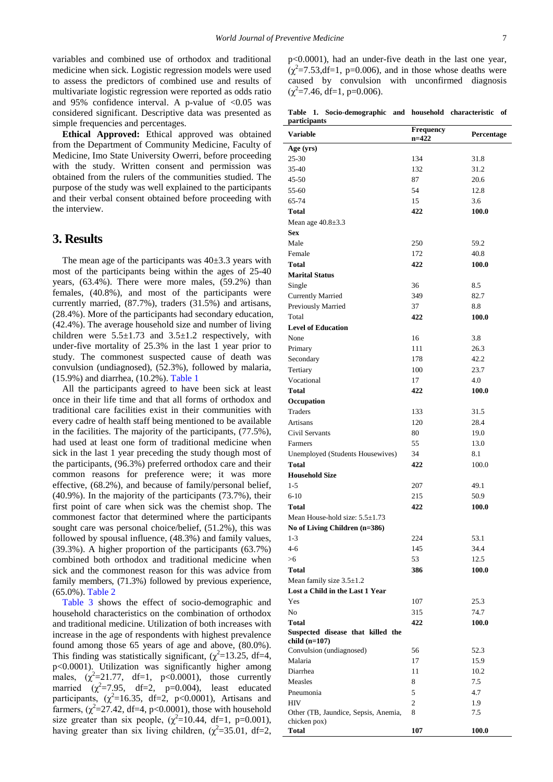variables and combined use of orthodox and traditional medicine when sick. Logistic regression models were used to assess the predictors of combined use and results of multivariate logistic regression were reported as odds ratio and 95% confidence interval. A p-value of  $< 0.05$  was considered significant. Descriptive data was presented as simple frequencies and percentages.

**Ethical Approved:** Ethical approved was obtained from the Department of Community Medicine, Faculty of Medicine, Imo State University Owerri, before proceeding with the study. Written consent and permission was obtained from the rulers of the communities studied. The purpose of the study was well explained to the participants and their verbal consent obtained before proceeding with the interview.

#### **3. Results**

The mean age of the participants was  $40\pm3.3$  years with most of the participants being within the ages of 25-40 years, (63.4%). There were more males, (59.2%) than females, (40.8%), and most of the participants were currently married, (87.7%), traders (31.5%) and artisans, (28.4%). More of the participants had secondary education, (42.4%). The average household size and number of living children were  $5.5 \pm 1.73$  and  $3.5 \pm 1.2$  respectively, with under-five mortality of 25.3% in the last 1 year prior to study. The commonest suspected cause of death was convulsion (undiagnosed), (52.3%), followed by malaria, (15.9%) and diarrhea, (10.2%). [Table 1](#page-2-0)

All the participants agreed to have been sick at least once in their life time and that all forms of orthodox and traditional care facilities exist in their communities with every cadre of health staff being mentioned to be available in the facilities. The majority of the participants, (77.5%), had used at least one form of traditional medicine when sick in the last 1 year preceding the study though most of the participants, (96.3%) preferred orthodox care and their common reasons for preference were; it was more effective, (68.2%), and because of family/personal belief, (40.9%). In the majority of the participants (73.7%), their first point of care when sick was the chemist shop. The commonest factor that determined where the participants sought care was personal choice/belief, (51.2%), this was followed by spousal influence, (48.3%) and family values, (39.3%). A higher proportion of the participants (63.7%) combined both orthodox and traditional medicine when sick and the commonest reason for this was advice from family members, (71.3%) followed by previous experience, (65.0%). [Table 2](#page-3-0)

[Table 3](#page-3-1) shows the effect of socio-demographic and household characteristics on the combination of orthodox and traditional medicine. Utilization of both increases with increase in the age of respondents with highest prevalence found among those 65 years of age and above, (80.0%). This finding was statistically significant,  $(\chi^2 = 13.25, df = 4,$ p<0.0001). Utilization was significantly higher among males,  $(\chi^2=21.77, df=1, p<0.0001)$ , those currently married  $(\chi^2=7.95, \text{ df}=2, \text{ p}=0.004)$ , least educated participants,  $(\chi^2=16.35, df=2, p<0.0001)$ , Artisans and farmers,  $(\chi^2 = 27.42, df = 4, p < 0.0001)$ , those with household size greater than six people,  $(\chi^2=10.44, df=1, p=0.001)$ , having greater than six living children,  $(\chi^2 = 35.01, df = 2,$ 

p<0.0001), had an under-five death in the last one year,  $(\chi^2 = 7.53, df = 1, p = 0.006)$ , and in those whose deaths were caused by convulsion with unconfirmed diagnosis  $(\chi^2 = 7.46, df = 1, p = 0.006).$ 

**Table 1. Socio-demographic and household characteristic of participants**

<span id="page-2-0"></span>

| <u>.</u><br><b>Variable</b>                          | Frequency      | Percentage   |
|------------------------------------------------------|----------------|--------------|
|                                                      | $n = 422$      |              |
| Age (yrs)                                            |                |              |
| $25 - 30$                                            | 134            | 31.8         |
| 35-40                                                | 132            | 31.2         |
| $45 - 50$                                            | 87             | 20.6         |
| 55-60                                                | 54             | 12.8         |
| 65-74                                                | 15             | 3.6          |
| Total                                                | 422            | 100.0        |
| Mean age $40.8 \pm 3.3$                              |                |              |
| <b>Sex</b>                                           |                |              |
| Male                                                 | 250            | 59.2         |
| Female                                               | 172            | 40.8         |
| Total                                                | 422            | 100.0        |
| <b>Marital Status</b>                                |                |              |
| Single                                               | 36             | 8.5          |
| <b>Currently Married</b>                             | 349            | 82.7         |
| Previously Married                                   | 37             | 8.8          |
| Total                                                | 422            | 100.0        |
| <b>Level of Education</b>                            |                |              |
| None                                                 | 16             | 3.8          |
| Primary                                              | 111            | 26.3         |
| Secondary                                            | 178            | 42.2         |
| Tertiary                                             | 100            | 23.7         |
| Vocational                                           | 17             | 4.0          |
| Total                                                | 422            | 100.0        |
| Occupation                                           |                |              |
| <b>Traders</b>                                       | 133            | 31.5         |
| Artisans                                             | 120            | 28.4         |
| Civil Servants                                       | 80             | 19.0         |
| Farmers                                              | 55             | 13.0         |
| Unemployed (Students Housewives)                     | 34             | 8.1          |
| <b>Total</b>                                         | 422            | 100.0        |
| <b>Household Size</b>                                |                |              |
| $1 - 5$                                              | 207            | 49.1         |
| $6 - 10$                                             | 215            | 50.9         |
| Total                                                | 422            | 100.0        |
| Mean House-hold size: $5.5 \pm 1.73$                 |                |              |
| No of Living Children (n=386)                        |                |              |
| $1 - 3$                                              | 224            | 53.1         |
| 4-6                                                  | 145            | 34.4         |
| >6                                                   | 53             | 12.5         |
| Total                                                | 386            | <b>100.0</b> |
| Mean family size $3.5 \pm 1.2$                       |                |              |
| Lost a Child in the Last 1 Year                      |                |              |
| Yes                                                  | 107            | 25.3         |
| No                                                   | 315            | 74.7         |
| <b>Total</b>                                         | 422            | 100.0        |
| Suspected disease that killed the                    |                |              |
| child (n=107)                                        |                |              |
| Convulsion (undiagnosed)                             | 56             | 52.3         |
| Malaria                                              | 17             | 15.9         |
| Diarrhea                                             | 11             | 10.2         |
| Measles                                              | 8              | 7.5          |
| Pneumonia                                            | 5              | 4.7          |
| <b>HIV</b>                                           | $\overline{c}$ | 1.9          |
| Other (TB, Jaundice, Sepsis, Anemia,<br>chicken pox) | 8              | 7.5          |
| Total                                                | 107            | 100.0        |
|                                                      |                |              |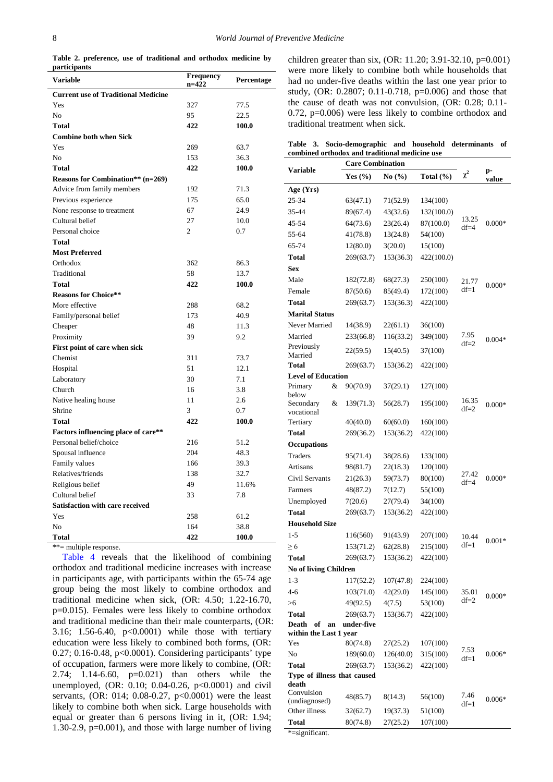**Table 2. preference, use of traditional and orthodox medicine by participants**

<span id="page-3-0"></span>

| <b>Variable</b>                            | Frequency<br>$n=422$ | Percentage |
|--------------------------------------------|----------------------|------------|
| <b>Current use of Traditional Medicine</b> |                      |            |
| Yes                                        | 327                  | 77.5       |
| No                                         | 95                   | 22.5       |
| <b>Total</b>                               | 422                  | 100.0      |
| <b>Combine both when Sick</b>              |                      |            |
| Yes                                        | 269                  | 63.7       |
| N <sub>0</sub>                             | 153                  | 36.3       |
| <b>Total</b>                               | 422                  | 100.0      |
| <b>Reasons for Combination**</b> (n=269)   |                      |            |
| Advice from family members                 | 192                  | 71.3       |
| Previous experience                        | 175                  | 65.0       |
| None response to treatment                 | 67                   | 24.9       |
| Cultural belief                            | 27                   | 10.0       |
| Personal choice                            | $\overline{c}$       | 0.7        |
| Total                                      |                      |            |
| <b>Most Preferred</b>                      |                      |            |
| Orthodox                                   | 362                  | 86.3       |
| Traditional                                | 58                   | 13.7       |
| <b>Total</b>                               | 422                  | 100.0      |
| <b>Reasons for Choice**</b>                |                      |            |
| More effective                             | 288                  | 68.2       |
| Family/personal belief                     | 173                  | 40.9       |
| Cheaper                                    | 48                   | 11.3       |
| Proximity                                  | 39                   | 9.2        |
| First point of care when sick              |                      |            |
| Chemist                                    | 311                  | 73.7       |
| Hospital                                   | 51                   | 12.1       |
| Laboratory                                 | 30                   | 7.1        |
| Church                                     | 16                   | 3.8        |
| Native healing house                       | 11                   | 2.6        |
| Shrine                                     | 3                    | 0.7        |
| <b>Total</b>                               | 422                  | 100.0      |
| Factors influencing place of care**        |                      |            |
| Personal belief/choice                     | 216                  | 51.2       |
| Spousal influence                          | 204                  | 48.3       |
| Family values                              | 166                  | 39.3       |
| Relatives/friends                          | 138                  | 32.7       |
| Religious belief                           | 49                   | 11.6%      |
| Cultural belief                            | 33                   | 7.8        |
| <b>Satisfaction with care received</b>     |                      |            |
| Yes                                        | 258                  | 61.2       |
| No                                         | 164                  | 38.8       |
| <b>Total</b>                               | 422                  | 100.0      |

\*\*= multiple response.

[Table 4](#page-4-0) reveals that the likelihood of combining orthodox and traditional medicine increases with increase in participants age, with participants within the 65-74 age group being the most likely to combine orthodox and traditional medicine when sick, (OR: 4.50; 1.22-16.70, p=0.015). Females were less likely to combine orthodox and traditional medicine than their male counterparts, (OR: 3.16; 1.56-6.40, p<0.0001) while those with tertiary education were less likely to combined both forms, (OR: 0.27; 0.16-0.48, p<0.0001). Considering participants' type of occupation, farmers were more likely to combine, (OR: 2.74; 1.14-6.60, p=0.021) than others while the unemployed, (OR: 0.10; 0.04-0.26, p<0.0001) and civil servants, (OR: 014; 0.08-0.27, p<0.0001) were the least likely to combine both when sick. Large households with equal or greater than 6 persons living in it, (OR: 1.94; 1.30-2.9, p=0.001), and those with large number of living

children greater than six, (OR: 11.20; 3.91-32.10, p=0.001) were more likely to combine both while households that had no under-five deaths within the last one year prior to study, (OR: 0.2807; 0.11-0.718, p=0.006) and those that the cause of death was not convulsion, (OR: 0.28; 0.11- 0.72, p=0.006) were less likely to combine orthodox and traditional treatment when sick.

|                                                | Table 3. Socio-demographic and household determinants of |  |  |  |  |
|------------------------------------------------|----------------------------------------------------------|--|--|--|--|
| combined orthodox and traditional medicine use |                                                          |  |  |  |  |

<span id="page-3-1"></span>

|                                             | <b>Care Combination</b> |                               |               |          |             |
|---------------------------------------------|-------------------------|-------------------------------|---------------|----------|-------------|
| <b>Variable</b>                             | Yes $(\% )$             | No $\left(\frac{0}{0}\right)$ | Total $(\% )$ | $\chi^2$ | p-<br>value |
| Age (Yrs)                                   |                         |                               |               |          |             |
| 25-34                                       | 63(47.1)                | 71(52.9)                      | 134(100)      |          |             |
| 35-44                                       | 89(67.4)                | 43(32.6)                      | 132(100.0)    |          |             |
| 45-54                                       | 64(73.6)                | 23(26.4)                      | 87(100.0)     | 13.25    | $0.000*$    |
| 55-64                                       | 41(78.8)                | 13(24.8)                      | 54(100)       | $df=4$   |             |
| 65-74                                       | 12(80.0)                | 3(20.0)                       | 15(100)       |          |             |
| Total                                       | 269(63.7)               | 153(36.3)                     | 422(100.0)    |          |             |
| <b>Sex</b>                                  |                         |                               |               |          |             |
| Male                                        | 182(72.8)               | 68(27.3)                      | 250(100)      | 21.77    |             |
| Female                                      | 87(50.6)                | 85(49.4)                      | 172(100)      | $df=1$   | $0.000*$    |
| Total                                       | 269(63.7)               | 153(36.3)                     | 422(100)      |          |             |
| <b>Marital Status</b>                       |                         |                               |               |          |             |
| Never Married                               | 14(38.9)                | 22(61.1)                      | 36(100)       |          |             |
| Married                                     | 233(66.8)               | 116(33.2)                     | 349(100)      | 7.95     | $0.004*$    |
| Previously                                  | 22(59.5)                | 15(40.5)                      | 37(100)       | $df=2$   |             |
| Married                                     |                         |                               |               |          |             |
| <b>Total</b>                                | 269(63.7)               | 153(36.2)                     | 422(100)      |          |             |
| <b>Level of Education</b>                   |                         |                               |               |          |             |
| &<br>Primary<br>below                       | 90(70.9)                | 37(29.1)                      | 127(100)      |          |             |
| Secondary<br>&                              | 139(71.3)               | 56(28.7)                      | 195(100)      | 16.35    | $0.000*$    |
| vocational                                  |                         |                               |               | $df=2$   |             |
| Tertiary                                    | 40(40.0)                | 60(60.0)                      | 160(100)      |          |             |
| Total                                       | 269(36.2)               | 153(36.2)                     | 422(100)      |          |             |
| <b>Occupations</b>                          |                         |                               |               |          |             |
| Traders                                     | 95(71.4)                | 38(28.6)                      | 133(100)      |          |             |
| Artisans                                    | 98(81.7)                | 22(18.3)                      | 120(100)      | 27.42    |             |
| Civil Servants                              | 21(26.3)                | 59(73.7)                      | 80(100)       | $df=4$   | $0.000*$    |
| Farmers                                     | 48(87.2)                | 7(12.7)                       | 55(100)       |          |             |
| Unemployed                                  | 7(20.6)                 | 27(79.4)                      | 34(100)       |          |             |
| Total                                       | 269(63.7)               | 153(36.2)                     | 422(100)      |          |             |
| <b>Household Size</b>                       |                         |                               |               |          |             |
| $1 - 5$                                     | 116(560)                | 91(43.9)                      | 207(100)      | 10.44    | $0.001*$    |
| $\geq 6$                                    | 153(71.2)               | 62(28.8)                      | 215(100)      | $df=1$   |             |
| <b>Total</b>                                | 269(63.7)               | 153(36.2)                     | 422(100)      |          |             |
| No of living Children                       |                         |                               |               |          |             |
| 1-3                                         | 117(52.2)               | 107(47.8)                     | 224(100)      |          |             |
| $4-6$                                       | 103(71.0)               | 42(29.0)                      | 145(100)      | 35.01    | $0.000*$    |
| >6                                          | 49(92.5)                | 4(7.5)                        | 53(100)       | $df=2$   |             |
| Total                                       | 269(63.7)               | 153(36.7)                     | 422(100)      |          |             |
| Death<br>of<br>an<br>within the Last 1 year | under-five              |                               |               |          |             |
| Yes                                         | 80(74.8)                | 27(25.2)                      | 107(100)      |          |             |
| No                                          | 189(60.0)               | 126(40.0)                     | 315(100)      | 7.53     | $0.006*$    |
| <b>Total</b>                                | 269(63.7)               | 153(36.2)                     | 422(100)      | $df=1$   |             |
| Type of illness that caused                 |                         |                               |               |          |             |
| death                                       |                         |                               |               |          |             |
| Convulsion<br>(undiagnosed)                 | 48(85.7)                | 8(14.3)                       | 56(100)       | 7.46     | $0.006*$    |
| Other illness                               | 32(62.7)                | 19(37.3)                      | 51(100)       | $df=1$   |             |
| Total                                       | 80(74.8)                | 27(25.2)                      | 107(100)      |          |             |
| *=significant.                              |                         |                               |               |          |             |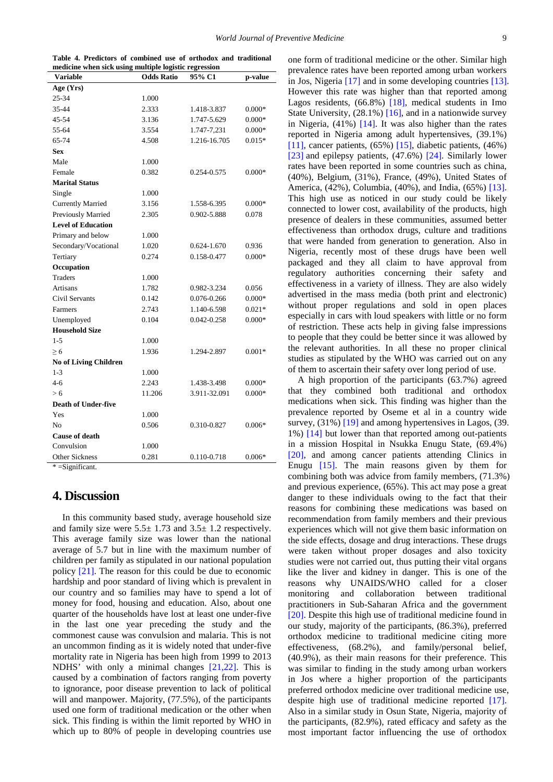|                                                       | Table 4. Predictors of combined use of orthodox and traditional |  |  |  |
|-------------------------------------------------------|-----------------------------------------------------------------|--|--|--|
| medicine when sick using multiple logistic regression |                                                                 |  |  |  |

<span id="page-4-0"></span>

| <b>Variable</b>              | <b>Odds Ratio</b> | 95% C1          | p-value  |
|------------------------------|-------------------|-----------------|----------|
| Age (Yrs)                    |                   |                 |          |
| 25-34                        | 1.000             |                 |          |
| 35-44                        | 2.333             | 1.418-3.837     | $0.000*$ |
| 45-54                        | 3.136             | 1.747-5.629     | $0.000*$ |
| 55-64                        | 3.554             | 1.747-7,231     | $0.000*$ |
| 65-74                        | 4.508             | 1.216-16.705    | $0.015*$ |
| <b>Sex</b>                   |                   |                 |          |
| Male                         | 1.000             |                 |          |
| Female                       | 0.382             | 0.254-0.575     | $0.000*$ |
| <b>Marital Status</b>        |                   |                 |          |
| Single                       | 1.000             |                 |          |
| <b>Currently Married</b>     | 3.156             | 1.558-6.395     | $0.000*$ |
| Previously Married           | 2.305             | 0.902-5.888     | 0.078    |
| <b>Level of Education</b>    |                   |                 |          |
| Primary and below            | 1.000             |                 |          |
| Secondary/Vocational         | 1.020             | 0.624-1.670     | 0.936    |
| Tertiary                     | 0.274             | 0.158-0.477     | $0.000*$ |
| Occupation                   |                   |                 |          |
| <b>Traders</b>               | 1.000             |                 |          |
| <b>Artisans</b>              | 1.782             | 0.982-3.234     | 0.056    |
| Civil Servants               | 0.142             | 0.076-0.266     | $0.000*$ |
| Farmers                      | 2.743             | 1.140-6.598     | $0.021*$ |
| Unemployed                   | 0.104             | $0.042 - 0.258$ | $0.000*$ |
| <b>Household Size</b>        |                   |                 |          |
| $1 - 5$                      | 1.000             |                 |          |
| $\geq 6$                     | 1.936             | 1.294-2.897     | $0.001*$ |
| <b>No of Living Children</b> |                   |                 |          |
| $1 - 3$                      | 1.000             |                 |          |
| $4-6$                        | 2.243             | 1.438-3.498     | $0.000*$ |
| > 6                          | 11.206            | 3.911-32.091    | $0.000*$ |
| <b>Death of Under-five</b>   |                   |                 |          |
| Yes                          | 1.000             |                 |          |
| N <sub>0</sub>               | 0.506             | 0.310-0.827     | $0.006*$ |
| <b>Cause of death</b>        |                   |                 |          |
| Convulsion                   | 1.000             |                 |          |
| <b>Other Sickness</b>        | 0.281             | 0.110-0.718     | $0.006*$ |

 $*$  =Significant.

#### **4. Discussion**

In this community based study, average household size and family size were  $5.5 \pm 1.73$  and  $3.5 \pm 1.2$  respectively. This average family size was lower than the national average of 5.7 but in line with the maximum number of children per family as stipulated in our national population policy [\[21\].](#page-6-14) The reason for this could be due to economic hardship and poor standard of living which is prevalent in our country and so families may have to spend a lot of money for food, housing and education. Also, about one quarter of the households have lost at least one under-five in the last one year preceding the study and the commonest cause was convulsion and malaria. This is not an uncommon finding as it is widely noted that under-five mortality rate in Nigeria has been high from 1999 to 2013 NDHS' with only a minimal changes [\[21,22\].](#page-6-14) This is caused by a combination of factors ranging from poverty to ignorance, poor disease prevention to lack of political will and manpower. Majority,  $(77.5\%)$ , of the participants used one form of traditional medication or the other when sick. This finding is within the limit reported by WHO in which up to 80% of people in developing countries use

one form of traditional medicine or the other. Similar high prevalence rates have been reported among urban workers in Jos, Nigeria [\[17\]](#page-6-10) and in some developing countries [\[13\].](#page-6-8) However this rate was higher than that reported among Lagos residents, (66.8%) [\[18\],](#page-6-15) medical students in Imo State University, (28.1%) [\[16\],](#page-6-16) and in a nationwide survey in Nigeria,  $(41\%)$  [\[14\].](#page-6-9) It was also higher than the rates reported in Nigeria among adult hypertensives, (39.1%) [\[11\],](#page-6-6) cancer patients,  $(65\%)$  [\[15\],](#page-6-13) diabetic patients,  $(46\%)$ [\[23\]](#page-6-17) and epilepsy patients, (47.6%) [\[24\].](#page-6-18) Similarly lower rates have been reported in some countries such as china, (40%), Belgium, (31%), France, (49%), United States of America, (42%), Columbia, (40%), and India, (65%) [\[13\].](#page-6-8) This high use as noticed in our study could be likely connected to lower cost, availability of the products, high presence of dealers in these communities, assumed better effectiveness than orthodox drugs, culture and traditions that were handed from generation to generation. Also in Nigeria, recently most of these drugs have been well packaged and they all claim to have approval from regulatory authorities concerning their safety and effectiveness in a variety of illness. They are also widely advertised in the mass media (both print and electronic) without proper regulations and sold in open places especially in cars with loud speakers with little or no form of restriction. These acts help in giving false impressions to people that they could be better since it was allowed by the relevant authorities. In all these no proper clinical studies as stipulated by the WHO was carried out on any of them to ascertain their safety over long period of use.

A high proportion of the participants (63.7%) agreed that they combined both traditional and orthodox medications when sick. This finding was higher than the prevalence reported by Oseme et al in a country wide survey, (31%) [\[19\]](#page-6-11) and among hypertensives in Lagos, (39. 1%) [\[14\]](#page-6-9) but lower than that reported among out-patients in a mission Hospital in Nsukka Enugu State, (69.4%) [\[20\],](#page-6-12) and among cancer patients attending Clinics in Enugu [\[15\].](#page-6-13) The main reasons given by them for combining both was advice from family members, (71.3%) and previous experience, (65%). This act may pose a great danger to these individuals owing to the fact that their reasons for combining these medications was based on recommendation from family members and their previous experiences which will not give them basic information on the side effects, dosage and drug interactions. These drugs were taken without proper dosages and also toxicity studies were not carried out, thus putting their vital organs like the liver and kidney in danger. This is one of the reasons why UNAIDS/WHO called for a closer monitoring and collaboration between traditional practitioners in Sub-Saharan Africa and the government [\[20\].](#page-6-12) Despite this high use of traditional medicine found in our study, majority of the participants, (86.3%), preferred orthodox medicine to traditional medicine citing more effectiveness, (68.2%), and family/personal belief, (40.9%), as their main reasons for their preference. This was similar to finding in the study among urban workers in Jos where a higher proportion of the participants preferred orthodox medicine over traditional medicine use, despite high use of traditional medicine reported [\[17\].](#page-6-10) Also in a similar study in Osun State, Nigeria, majority of the participants, (82.9%), rated efficacy and safety as the most important factor influencing the use of orthodox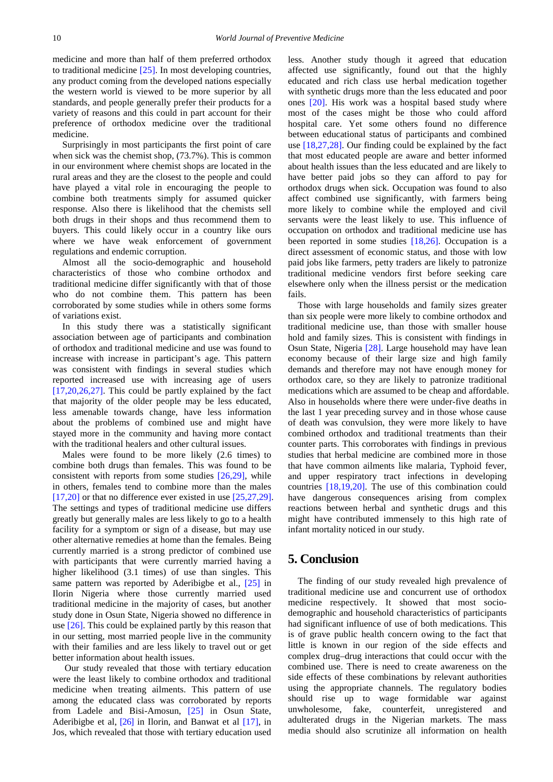medicine and more than half of them preferred orthodox to traditional medicine [\[25\].](#page-6-19) In most developing countries, any product coming from the developed nations especially the western world is viewed to be more superior by all standards, and people generally prefer their products for a variety of reasons and this could in part account for their preference of orthodox medicine over the traditional medicine.

Surprisingly in most participants the first point of care when sick was the chemist shop, (73.7%). This is common in our environment where chemist shops are located in the rural areas and they are the closest to the people and could have played a vital role in encouraging the people to combine both treatments simply for assumed quicker response. Also there is likelihood that the chemists sell both drugs in their shops and thus recommend them to buyers. This could likely occur in a country like ours where we have weak enforcement of government regulations and endemic corruption.

Almost all the socio-demographic and household characteristics of those who combine orthodox and traditional medicine differ significantly with that of those who do not combine them. This pattern has been corroborated by some studies while in others some forms of variations exist.

In this study there was a statistically significant association between age of participants and combination of orthodox and traditional medicine and use was found to increase with increase in participant's age. This pattern was consistent with findings in several studies which reported increased use with increasing age of users  $[17,20,26,27]$ . This could be partly explained by the fact that majority of the older people may be less educated, less amenable towards change, have less information about the problems of combined use and might have stayed more in the community and having more contact with the traditional healers and other cultural issues.

Males were found to be more likely (2.6 times) to combine both drugs than females. This was found to be consistent with reports from some studies [\[26,29\],](#page-6-20) while in others, females tend to combine more than the males [\[17,20\]](#page-6-10) or that no difference ever existed in use [\[25,27,29\].](#page-6-19) The settings and types of traditional medicine use differs greatly but generally males are less likely to go to a health facility for a symptom or sign of a disease, but may use other alternative remedies at home than the females. Being currently married is a strong predictor of combined use with participants that were currently married having a higher likelihood (3.1 times) of use than singles. This same pattern was reported by Aderibigbe et al., [\[25\]](#page-6-19) in Ilorin Nigeria where those currently married used traditional medicine in the majority of cases, but another study done in Osun State, Nigeria showed no difference in use [\[26\].](#page-6-20) This could be explained partly by this reason that in our setting, most married people live in the community with their families and are less likely to travel out or get better information about health issues.

Our study revealed that those with tertiary education were the least likely to combine orthodox and traditional medicine when treating ailments. This pattern of use among the educated class was corroborated by reports from Ladele and Bisi-Amosun, [\[25\]](#page-6-19) in Osun State, Aderibigbe et al,  $[26]$  in Ilorin, and Banwat et al  $[17]$ , in Jos, which revealed that those with tertiary education used

less. Another study though it agreed that education affected use significantly, found out that the highly educated and rich class use herbal medication together with synthetic drugs more than the less educated and poor ones [\[20\].](#page-6-12) His work was a hospital based study where most of the cases might be those who could afford hospital care. Yet some others found no difference between educational status of participants and combined use [\[18,27,28\].](#page-6-15) Our finding could be explained by the fact that most educated people are aware and better informed about health issues than the less educated and are likely to have better paid jobs so they can afford to pay for orthodox drugs when sick. Occupation was found to also affect combined use significantly, with farmers being more likely to combine while the employed and civil servants were the least likely to use. This influence of occupation on orthodox and traditional medicine use has been reported in some studies [\[18,26\].](#page-6-15) Occupation is a direct assessment of economic status, and those with low paid jobs like farmers, petty traders are likely to patronize traditional medicine vendors first before seeking care elsewhere only when the illness persist or the medication fails.

Those with large households and family sizes greater than six people were more likely to combine orthodox and traditional medicine use, than those with smaller house hold and family sizes. This is consistent with findings in Osun State, Nigeria [\[28\].](#page-6-21) Large household may have lean economy because of their large size and high family demands and therefore may not have enough money for orthodox care, so they are likely to patronize traditional medications which are assumed to be cheap and affordable. Also in households where there were under-five deaths in the last 1 year preceding survey and in those whose cause of death was convulsion, they were more likely to have combined orthodox and traditional treatments than their counter parts. This corroborates with findings in previous studies that herbal medicine are combined more in those that have common ailments like malaria, Typhoid fever, and upper respiratory tract infections in developing countries [\[18,19,20\].](#page-6-15) The use of this combination could have dangerous consequences arising from complex reactions between herbal and synthetic drugs and this might have contributed immensely to this high rate of infant mortality noticed in our study.

#### **5. Conclusion**

The finding of our study revealed high prevalence of traditional medicine use and concurrent use of orthodox medicine respectively. It showed that most sociodemographic and household characteristics of participants had significant influence of use of both medications. This is of grave public health concern owing to the fact that little is known in our region of the side effects and complex drug–drug interactions that could occur with the combined use. There is need to create awareness on the side effects of these combinations by relevant authorities using the appropriate channels. The regulatory bodies should rise up to wage formidable war against unwholesome, fake, counterfeit, unregistered and adulterated drugs in the Nigerian markets. The mass media should also scrutinize all information on health